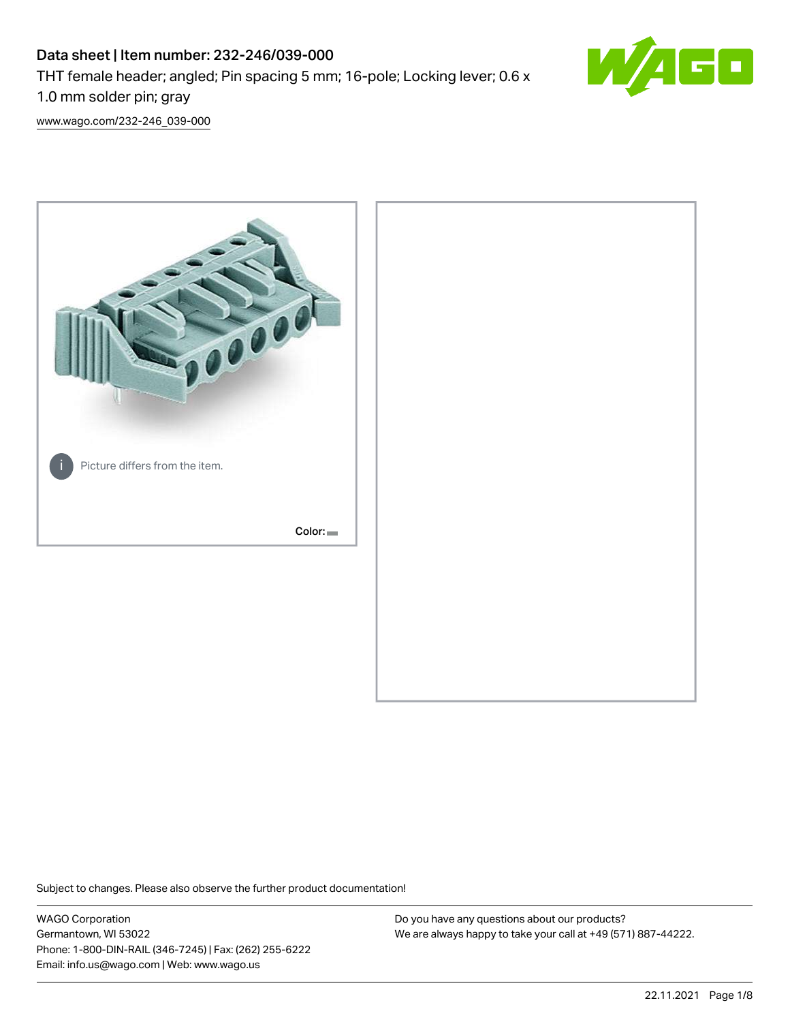# Data sheet | Item number: 232-246/039-000 THT female header; angled; Pin spacing 5 mm; 16-pole; Locking lever; 0.6 x 1.0 mm solder pin; gray



[www.wago.com/232-246\\_039-000](http://www.wago.com/232-246_039-000)



Subject to changes. Please also observe the further product documentation!

WAGO Corporation Germantown, WI 53022 Phone: 1-800-DIN-RAIL (346-7245) | Fax: (262) 255-6222 Email: info.us@wago.com | Web: www.wago.us

Do you have any questions about our products? We are always happy to take your call at +49 (571) 887-44222.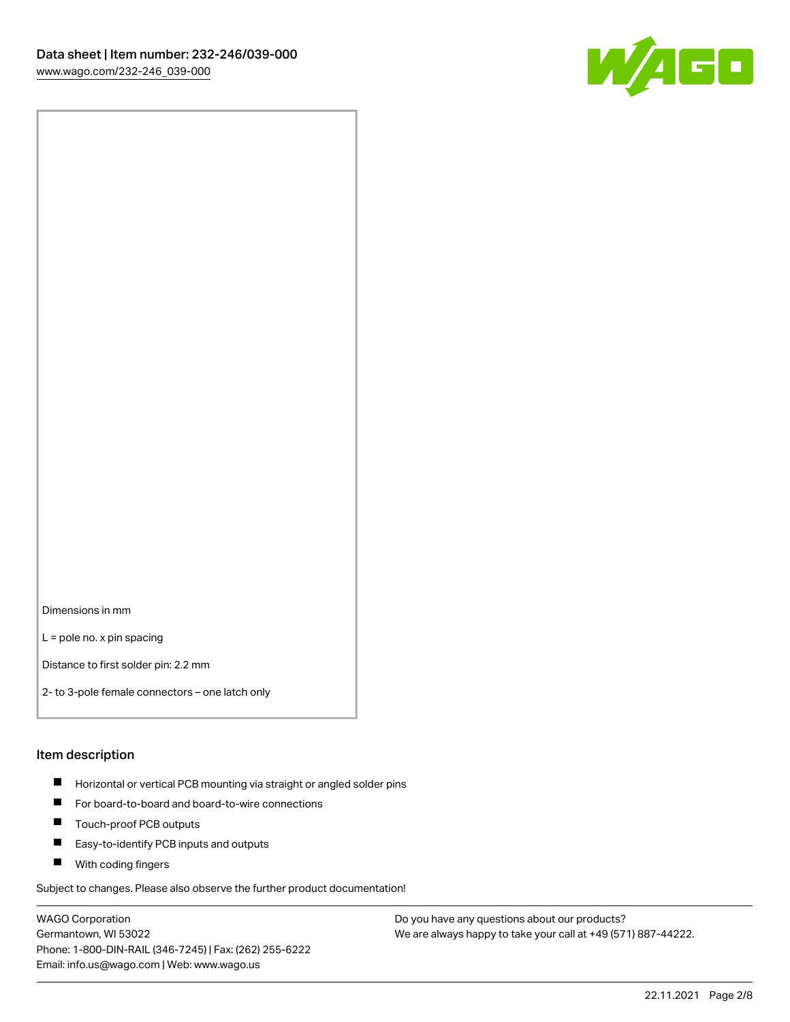

Dimensions in mm

L = pole no. x pin spacing

Distance to first solder pin: 2.2 mm

2- to 3-pole female connectors – one latch only

#### Item description

- **Horizontal or vertical PCB mounting via straight or angled solder pins**
- For board-to-board and board-to-wire connections
- $\blacksquare$ Touch-proof PCB outputs
- $\blacksquare$ Easy-to-identify PCB inputs and outputs
- **Now With coding fingers**

Subject to changes. Please also observe the further product documentation!

WAGO Corporation Germantown, WI 53022 Phone: 1-800-DIN-RAIL (346-7245) | Fax: (262) 255-6222 Email: info.us@wago.com | Web: www.wago.us

Do you have any questions about our products? We are always happy to take your call at +49 (571) 887-44222.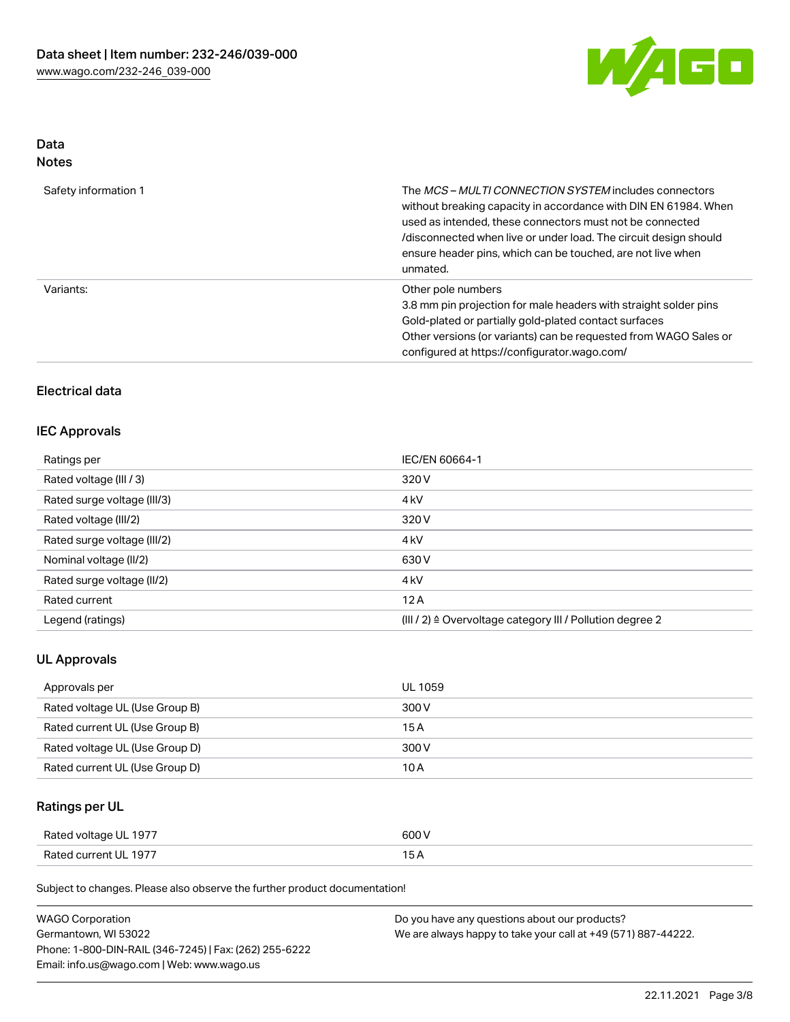

# Data

| Safety information 1 | The <i>MCS – MULTI CONNECTION SYSTEM</i> includes connectors<br>without breaking capacity in accordance with DIN EN 61984. When<br>used as intended, these connectors must not be connected<br>/disconnected when live or under load. The circuit design should<br>ensure header pins, which can be touched, are not live when<br>unmated. |
|----------------------|--------------------------------------------------------------------------------------------------------------------------------------------------------------------------------------------------------------------------------------------------------------------------------------------------------------------------------------------|
| Variants:            | Other pole numbers<br>3.8 mm pin projection for male headers with straight solder pins<br>Gold-plated or partially gold-plated contact surfaces<br>Other versions (or variants) can be requested from WAGO Sales or<br>configured at https://configurator.wago.com/                                                                        |

## Electrical data

#### IEC Approvals

| Ratings per                 | IEC/EN 60664-1                                                       |
|-----------------------------|----------------------------------------------------------------------|
| Rated voltage (III / 3)     | 320 V                                                                |
| Rated surge voltage (III/3) | 4 <sub>k</sub> V                                                     |
| Rated voltage (III/2)       | 320 V                                                                |
| Rated surge voltage (III/2) | 4 <sub>k</sub> V                                                     |
| Nominal voltage (II/2)      | 630 V                                                                |
| Rated surge voltage (II/2)  | 4 <sub>k</sub> V                                                     |
| Rated current               | 12A                                                                  |
| Legend (ratings)            | (III / 2) $\triangleq$ Overvoltage category III / Pollution degree 2 |

### UL Approvals

| Approvals per                  | UL 1059 |
|--------------------------------|---------|
| Rated voltage UL (Use Group B) | 300 V   |
| Rated current UL (Use Group B) | 15 A    |
| Rated voltage UL (Use Group D) | 300 V   |
| Rated current UL (Use Group D) | 10 A    |

## Ratings per UL

| Rated voltage UL 1977 | 600 V |
|-----------------------|-------|
| Rated current UL 1977 |       |

Subject to changes. Please also observe the further product documentation!

| <b>WAGO Corporation</b>                                | Do you have any questions about our products?                 |
|--------------------------------------------------------|---------------------------------------------------------------|
| Germantown, WI 53022                                   | We are always happy to take your call at +49 (571) 887-44222. |
| Phone: 1-800-DIN-RAIL (346-7245)   Fax: (262) 255-6222 |                                                               |
| Email: info.us@wago.com   Web: www.wago.us             |                                                               |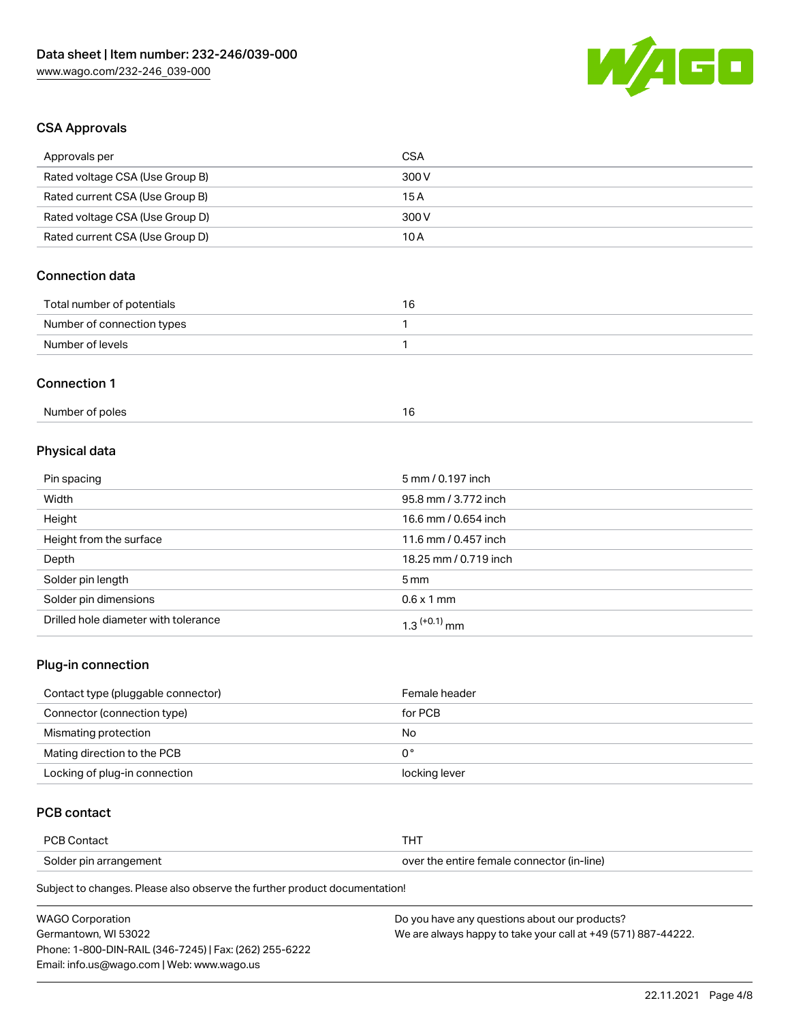

## CSA Approvals

| Approvals per                   | <b>CSA</b>            |  |
|---------------------------------|-----------------------|--|
| Rated voltage CSA (Use Group B) | 300V                  |  |
| Rated current CSA (Use Group B) | 15A                   |  |
| Rated voltage CSA (Use Group D) | 300V                  |  |
| Rated current CSA (Use Group D) | 10A                   |  |
| <b>Connection data</b>          |                       |  |
| Total number of potentials      | 16                    |  |
| Number of connection types      | 1                     |  |
| Number of levels                | 1                     |  |
| <b>Connection 1</b>             |                       |  |
| Number of poles                 | 16                    |  |
| Physical data                   |                       |  |
| Pin spacing                     | 5 mm / 0.197 inch     |  |
| Width                           | 95.8 mm / 3.772 inch  |  |
| Height                          | 16.6 mm / 0.654 inch  |  |
| Height from the surface         | 11.6 mm / 0.457 inch  |  |
| Depth                           | 18.25 mm / 0.719 inch |  |
| Solder pin length               | 5 <sub>mm</sub>       |  |
| Solder pin dimensions           | $0.6 \times 1$ mm     |  |

#### Plug-in connection

| Contact type (pluggable connector) | Female header |
|------------------------------------|---------------|
| Connector (connection type)        | for PCB       |
| Mismating protection               | No            |
| Mating direction to the PCB        | 0°            |
| Locking of plug-in connection      | locking lever |

## PCB contact

| <b>PCB Contact</b>     |                                            |
|------------------------|--------------------------------------------|
| Solder pin arrangement | over the entire female connector (in-line) |

Subject to changes. Please also observe the further product documentation!

Drilled hole diameter with tolerance  $1.3$   $(+0.1)$  mm

| <b>WAGO Corporation</b>                                | Do you have any questions about our products?                 |
|--------------------------------------------------------|---------------------------------------------------------------|
| Germantown. WI 53022                                   | We are always happy to take your call at +49 (571) 887-44222. |
| Phone: 1-800-DIN-RAIL (346-7245)   Fax: (262) 255-6222 |                                                               |
| Email: info.us@wago.com   Web: www.wago.us             |                                                               |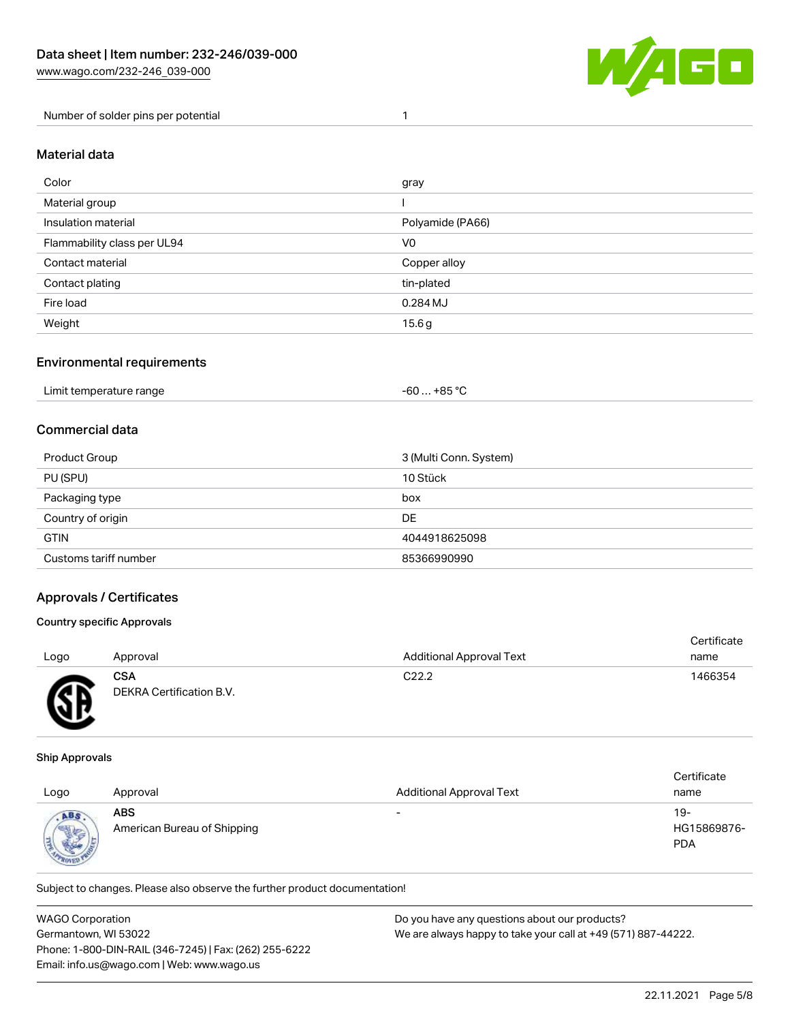

Number of solder pins per potential 1

#### Material data

| Color                       | gray             |
|-----------------------------|------------------|
| Material group              |                  |
| Insulation material         | Polyamide (PA66) |
| Flammability class per UL94 | V <sub>0</sub>   |
| Contact material            | Copper alloy     |
| Contact plating             | tin-plated       |
| Fire load                   | 0.284 MJ         |
| Weight                      | 15.6g            |

#### Environmental requirements

### Commercial data

| Product Group         | 3 (Multi Conn. System) |
|-----------------------|------------------------|
| PU (SPU)              | 10 Stück               |
| Packaging type        | box                    |
| Country of origin     | DE                     |
| <b>GTIN</b>           | 4044918625098          |
| Customs tariff number | 85366990990            |

#### Approvals / Certificates

#### Country specific Approvals

| Logo      | Approval                                      | <b>Additional Approval Text</b> | Certificate<br>name |
|-----------|-----------------------------------------------|---------------------------------|---------------------|
| <b>AR</b> | <b>CSA</b><br><b>DEKRA Certification B.V.</b> | C <sub>22.2</sub>               | 1466354             |

#### Ship Approvals

w

| Logo                         | Approval                                  | <b>Additional Approval Text</b> | Certificate<br>name              |
|------------------------------|-------------------------------------------|---------------------------------|----------------------------------|
| ABS<br><b>Sight</b><br>R0151 | <b>ABS</b><br>American Bureau of Shipping | $\overline{\phantom{0}}$        | 19-<br>HG15869876-<br><b>PDA</b> |

Subject to changes. Please also observe the further product documentation!

| <b>WAGO Corporation</b>                                | Do you have any questions about our products?                 |
|--------------------------------------------------------|---------------------------------------------------------------|
| Germantown, WI 53022                                   | We are always happy to take your call at +49 (571) 887-44222. |
| Phone: 1-800-DIN-RAIL (346-7245)   Fax: (262) 255-6222 |                                                               |
| Email: info.us@wago.com   Web: www.wago.us             |                                                               |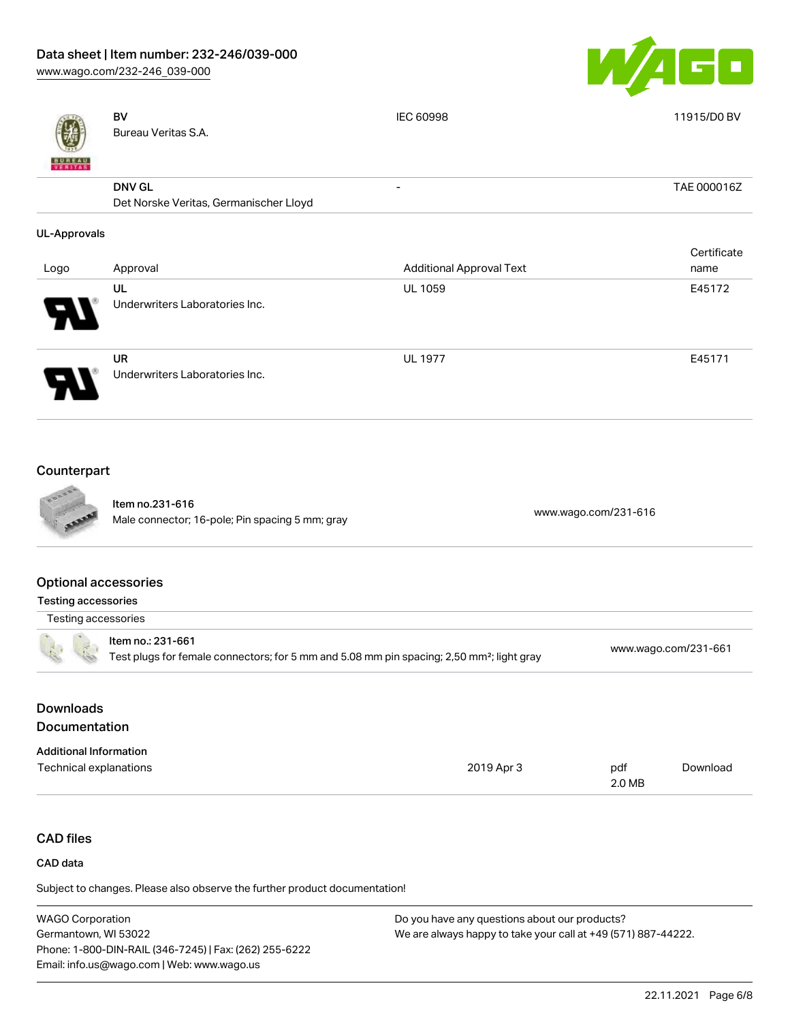[www.wago.com/232-246\\_039-000](http://www.wago.com/232-246_039-000)



|                                                           | <b>BV</b><br>Bureau Veritas S.A.                                                                                           | IEC 60998                       | 11915/D0 BV          |
|-----------------------------------------------------------|----------------------------------------------------------------------------------------------------------------------------|---------------------------------|----------------------|
|                                                           | <b>DNV GL</b><br>Det Norske Veritas, Germanischer Lloyd                                                                    | $\overline{a}$                  | TAE 000016Z          |
| <b>UL-Approvals</b>                                       |                                                                                                                            |                                 |                      |
| Logo                                                      | Approval                                                                                                                   | <b>Additional Approval Text</b> | Certificate<br>name  |
|                                                           | UL<br>Underwriters Laboratories Inc.                                                                                       | <b>UL 1059</b>                  | E45172               |
|                                                           | <b>UR</b><br>Underwriters Laboratories Inc.                                                                                | <b>UL 1977</b>                  | E45171               |
| Counterpart                                               |                                                                                                                            |                                 |                      |
|                                                           | Item no.231-616<br>Male connector; 16-pole; Pin spacing 5 mm; gray                                                         | www.wago.com/231-616            |                      |
| <b>Optional accessories</b><br><b>Testing accessories</b> |                                                                                                                            |                                 |                      |
| Testing accessories                                       |                                                                                                                            |                                 |                      |
|                                                           | Item no.: 231-661<br>Test plugs for female connectors; for 5 mm and 5.08 mm pin spacing; 2,50 mm <sup>2</sup> ; light gray |                                 | www.wago.com/231-661 |

## Downloads Documentation

| <b>Additional Information</b> |            |        |          |
|-------------------------------|------------|--------|----------|
| Technical explanations        | 2019 Apr 3 | pdf    | Download |
|                               |            | 2.0 MB |          |

## CAD files

#### CAD data

Subject to changes. Please also observe the further product documentation!

| <b>WAGO Corporation</b>                                | Do you have any questions about our products?                 |
|--------------------------------------------------------|---------------------------------------------------------------|
| Germantown, WI 53022                                   | We are always happy to take your call at +49 (571) 887-44222. |
| Phone: 1-800-DIN-RAIL (346-7245)   Fax: (262) 255-6222 |                                                               |
| Email: info.us@wago.com   Web: www.wago.us             |                                                               |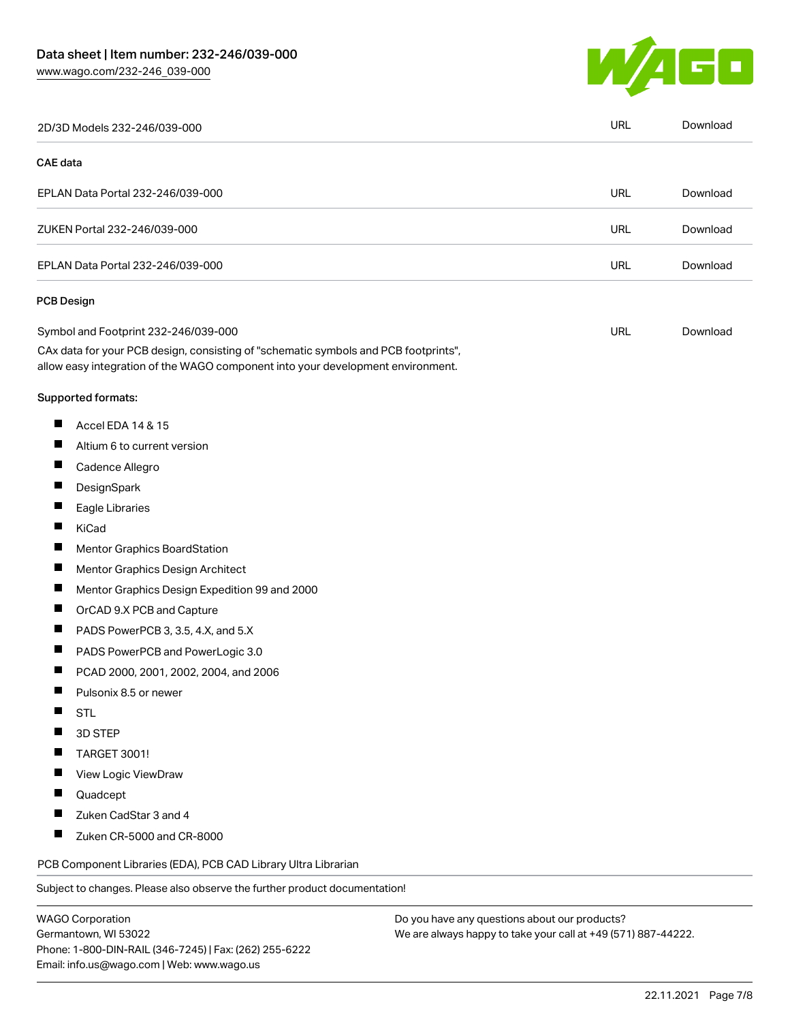Germantown, WI 53022

Phone: 1-800-DIN-RAIL (346-7245) | Fax: (262) 255-6222

Email: info.us@wago.com | Web: www.wago.us



| 2D/3D Models 232-246/039-000                                                                                                                                           |                                               | <b>URL</b> | Download |
|------------------------------------------------------------------------------------------------------------------------------------------------------------------------|-----------------------------------------------|------------|----------|
| <b>CAE</b> data                                                                                                                                                        |                                               |            |          |
| EPLAN Data Portal 232-246/039-000                                                                                                                                      |                                               | <b>URL</b> | Download |
| ZUKEN Portal 232-246/039-000                                                                                                                                           |                                               | <b>URL</b> | Download |
| EPLAN Data Portal 232-246/039-000                                                                                                                                      |                                               | URL        | Download |
| <b>PCB Design</b>                                                                                                                                                      |                                               |            |          |
| Symbol and Footprint 232-246/039-000                                                                                                                                   |                                               | <b>URL</b> | Download |
| CAx data for your PCB design, consisting of "schematic symbols and PCB footprints",<br>allow easy integration of the WAGO component into your development environment. |                                               |            |          |
| Supported formats:                                                                                                                                                     |                                               |            |          |
| ш<br>Accel EDA 14 & 15                                                                                                                                                 |                                               |            |          |
| ш<br>Altium 6 to current version                                                                                                                                       |                                               |            |          |
| H<br>Cadence Allegro                                                                                                                                                   |                                               |            |          |
| ш<br>DesignSpark                                                                                                                                                       |                                               |            |          |
| ш<br>Eagle Libraries                                                                                                                                                   |                                               |            |          |
| H<br>KiCad                                                                                                                                                             |                                               |            |          |
| ш<br>Mentor Graphics BoardStation                                                                                                                                      |                                               |            |          |
| Ш<br>Mentor Graphics Design Architect                                                                                                                                  |                                               |            |          |
| П<br>Mentor Graphics Design Expedition 99 and 2000                                                                                                                     |                                               |            |          |
| ш<br>OrCAD 9.X PCB and Capture                                                                                                                                         |                                               |            |          |
| ш<br>PADS PowerPCB 3, 3.5, 4.X, and 5.X                                                                                                                                |                                               |            |          |
| ш<br>PADS PowerPCB and PowerLogic 3.0                                                                                                                                  |                                               |            |          |
| ш<br>PCAD 2000, 2001, 2002, 2004, and 2006                                                                                                                             |                                               |            |          |
| ×.<br>Pulsonix 8.5 or newer                                                                                                                                            |                                               |            |          |
| ш<br><b>STL</b>                                                                                                                                                        |                                               |            |          |
| 3D STEP<br>ш                                                                                                                                                           |                                               |            |          |
| TARGET 3001!                                                                                                                                                           |                                               |            |          |
| View Logic ViewDraw                                                                                                                                                    |                                               |            |          |
| ш<br>Quadcept                                                                                                                                                          |                                               |            |          |
| Zuken CadStar 3 and 4                                                                                                                                                  |                                               |            |          |
| ш<br>Zuken CR-5000 and CR-8000                                                                                                                                         |                                               |            |          |
| PCB Component Libraries (EDA), PCB CAD Library Ultra Librarian                                                                                                         |                                               |            |          |
| Subject to changes. Please also observe the further product documentation!                                                                                             |                                               |            |          |
| <b>WAGO Corporation</b>                                                                                                                                                | Do you have any questions about our products? |            |          |

We are always happy to take your call at +49 (571) 887-44222.